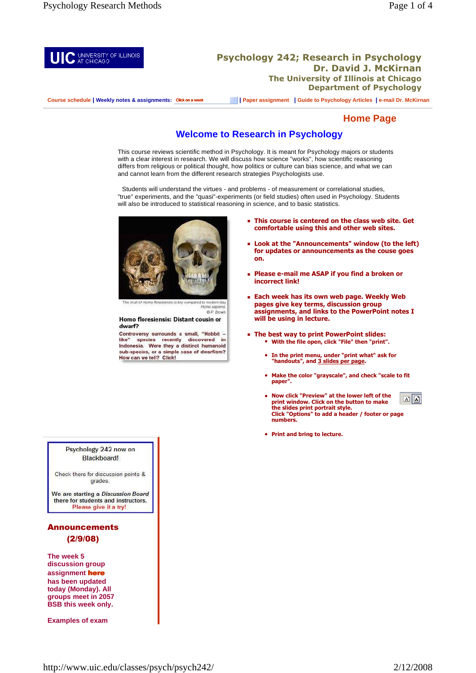

# **Home Page**

# **Welcome to Research in Psychology**

This course reviews scientific method in Psychology. It is meant for Psychology majors or students with a clear interest in research. We will discuss how science "works", how scientific reasoning differs from religious or political thought, how politics or culture can bias science, and what we can and cannot learn from the different research strategies Psychologists use.

Students will understand the virtues - and problems - of measurement or correlational studies, "true" experiments, and the "quasi"-experiments (or field studies) often used in Psychology. Students will also be introduced to statistical reasoning in science, and to basic statistics.



OP Brown

Homo floresiensis: Distant cousin or dwarf?

Controversy surrounds a small, "Hobbit -<br>like" species recently discovered in  $\overline{1}$ Indonesia. Were they a distinct humanoid sub-species, or a simple case of dwarfism?<br>How can we tell? Click!

- **This course is centered on the class web site. Get comfortable using this and other web sites.**
- **Look at the "Announcements" window (to the left) for updates or announcements as the couse goes on.**
- **Please e-mail me ASAP if you find a broken or incorrect link!**
- **Each week has its own web page. Weekly Web pages give key terms, discussion group assignments, and links to the PowerPoint notes I will be using in lecture.**
- **The best way to print PowerPoint slides:**  - **With the file open, click "File" then "print".** 
	- **In the print menu, under "print what" ask for "handouts", and 3 slides per page.**
	- **Make the color "grayscale", and check "scale to fit paper".**
	- **Now click "Preview" at the lower left of the**   $A$ <sup> $A$ </sup> $A$ <sup> $A$ </sup> **print window. Click on the button to make the slides print portrait style. Click "Options" to add a header / footer or page numbers.**
	- **Print and bring to lecture.**

Psychology 242 now on Blackboard!

Check there for discussion points & grades.

We are starting a Discussion Board there for students and instructors. Please give it a try!

# Announcements (2/9/08)

**The week 5 discussion group assignment** here **has been updated today (Monday). All groups meet in 2057 BSB this week only.** 

**Examples of exam**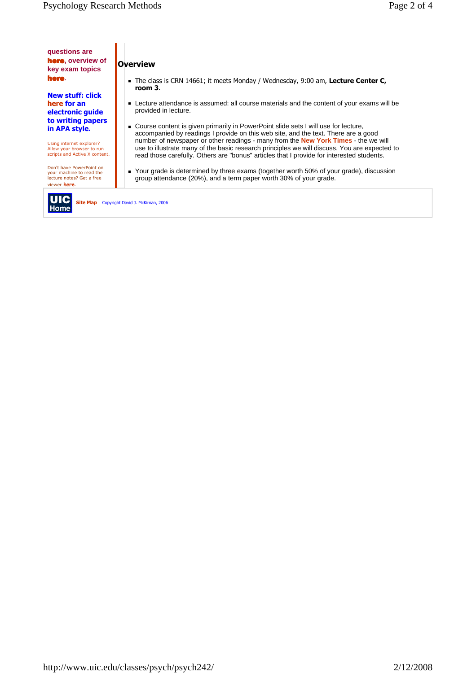### **questions are**

here**, overview of key exam topics**  here**.** 

### **New stuff: click here for an electronic guide to writing papers in APA style.**

Using internet explorer? Allow your browser to run scripts and Active X content.

Don't have PowerPoint on your machine to read the lecture notes? Get a free viewer **here**.



**Site Map** Copyright David J. McKirnan, 2006

## **Overview**

- The class is CRN 14661; it meets Monday / Wednesday, 9:00 am, **Lecture Center C, room 3**.
- Lecture attendance is assumed: all course materials and the content of your exams will be provided in lecture.
- Course content is given primarily in PowerPoint slide sets I will use for lecture, accompanied by readings I provide on this web site, and the text. There are a good number of newspaper or other readings - many from the **New York Times** - the we will use to illustrate many of the basic research principles we will discuss. You are expected to read those carefully. Others are "bonus" articles that I provide for interested students.
- Your grade is determined by three exams (together worth 50% of your grade), discussion group attendance (20%), and a term paper worth 30% of your grade.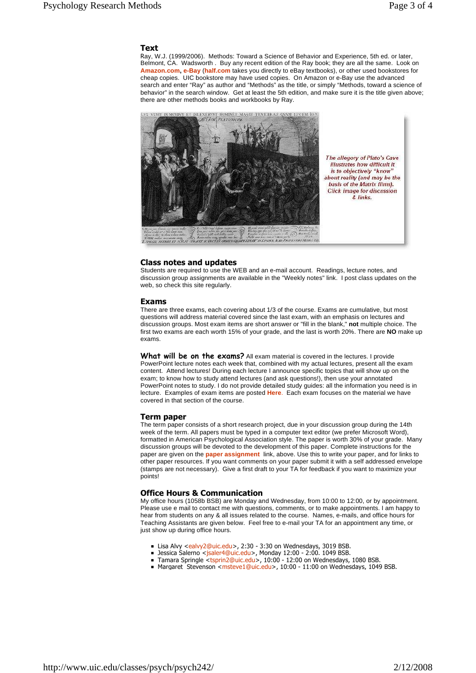#### **Text**

Ray, W.J. (1999/2006). Methods: Toward a Science of Behavior and Experience, 5th ed. or later, Belmont, CA. Wadsworth . Buy any recent edition of the Ray book; they are all the same. Look on **Amazon.com, e-Bay** (**half.com** takes you directly to eBay textbooks), or other used bookstores for cheap copies. UIC bookstore may have used copies. On Amazon or e-Bay use the advanced search and enter "Ray" as author and "Methods" as the title, or simply "Methods, toward a science of behavior" in the search window. Get at least the 5th edition, and make sure it is the title given above; there are other methods books and workbooks by Ray.



#### **Class notes and updates**

Students are required to use the WEB and an e-mail account. Readings, lecture notes, and discussion group assignments are available in the "Weekly notes" link. I post class updates on the web, so check this site regularly.

#### **Exams**

There are three exams, each covering about 1/3 of the course. Exams are cumulative, but most questions will address material covered since the last exam, with an emphasis on lectures and discussion groups. Most exam items are short answer or "fill in the blank," **not** multiple choice. The first two exams are each worth 15% of your grade, and the last is worth 20%. There are **NO** make up exams.

**What will be on the exams?** All exam material is covered in the lectures. I provide PowerPoint lecture notes each week that, combined with my actual lectures, present all the exam content. Attend lectures! During each lecture I announce specific topics that will show up on the exam; to know how to study attend lectures (and ask questions!), then use your annotated PowerPoint notes to study. I do not provide detailed study guides: all the information you need is in lecture. Examples of exam items are posted **Here**. Each exam focuses on the material we have covered in that section of the course.

#### **Term paper**

The term paper consists of a short research project, due in your discussion group during the 14th week of the term. All papers must be typed in a computer text editor (we prefer Microsoft Word), formatted in American Psychological Association style. The paper is worth 30% of your grade. Many discussion groups will be devoted to the development of this paper. Complete instructions for the paper are given on the **paper assignment** link, above. Use this to write your paper, and for links to other paper resources. If you want comments on your paper submit it with a self addressed envelope (stamps are not necessary). Give a first draft to your TA for feedback if you want to maximize your points!

#### **Office Hours & Communication**

My office hours (1058b BSB) are Monday and Wednesday, from 10:00 to 12:00, or by appointment. Please use e mail to contact me with questions, comments, or to make appointments. I am happy to hear from students on any & all issues related to the course. Names, e-mails, and office hours for Teaching Assistants are given below. Feel free to e-mail your TA for an appointment any time, or just show up during office hours.

- Lisa Alvy <ealvy2@uic.edu>, 2:30 3:30 on Wednesdays, 3019 BSB.
- Jessica Salerno <jsaler4@uic.edu>, Monday 12:00 2:00. 1049 BSB.
- Tamara Springle <tsprin2@uic.edu>, 10:00 12:00 on Wednesdays, 1080 BSB.
- Margaret Stevenson <msteve1@uic.edu>, 10:00 11:00 on Wednesdays, 1049 BSB.